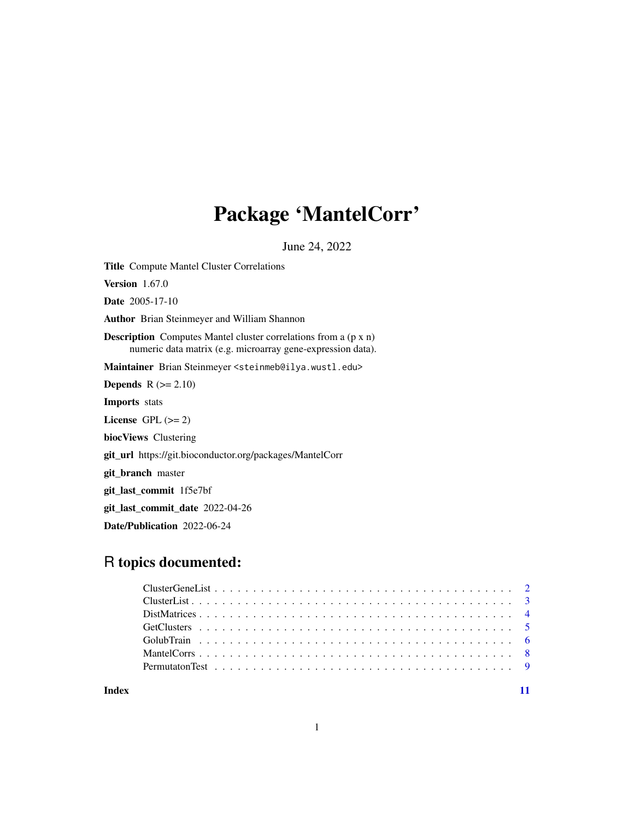## Package 'MantelCorr'

June 24, 2022

Title Compute Mantel Cluster Correlations Version 1.67.0 Date 2005-17-10 Author Brian Steinmeyer and William Shannon Description Computes Mantel cluster correlations from a (p x n) numeric data matrix (e.g. microarray gene-expression data). Maintainer Brian Steinmeyer <steinmeb@ilya.wustl.edu> **Depends**  $R$  ( $>= 2.10$ ) Imports stats License GPL  $(>= 2)$ biocViews Clustering git\_url https://git.bioconductor.org/packages/MantelCorr git\_branch master git\_last\_commit 1f5e7bf git\_last\_commit\_date 2022-04-26 Date/Publication 2022-06-24

### R topics documented:

**Index** [11](#page-10-0)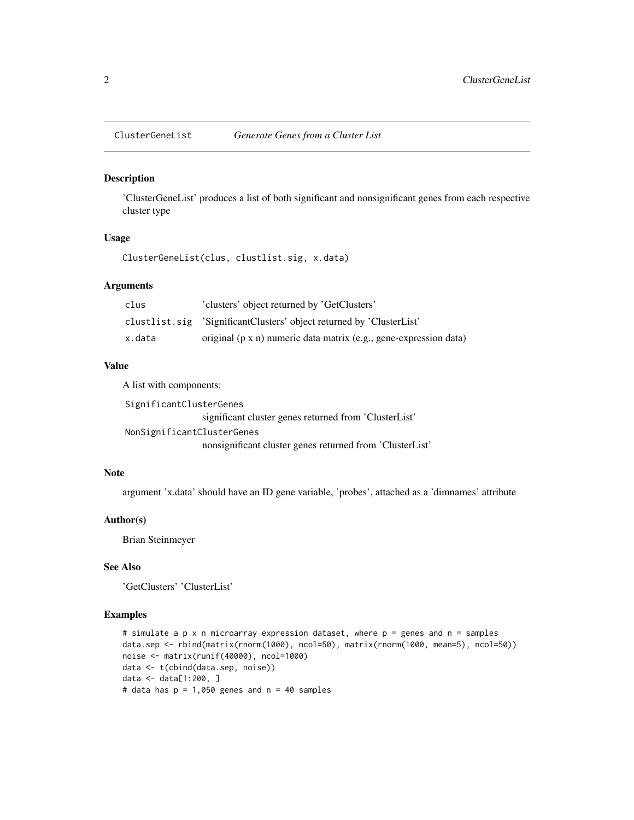<span id="page-1-0"></span>

#### Description

'ClusterGeneList' produces a list of both significant and nonsignificant genes from each respective cluster type

#### Usage

ClusterGeneList(clus, clustlist.sig, x.data)

#### Arguments

| clus   | 'clusters' object returned by 'GetClusters'                          |
|--------|----------------------------------------------------------------------|
|        | clustlist.sig 'SignificantClusters' object returned by 'ClusterList' |
| x.data | original (p x n) numeric data matrix (e.g., gene-expression data)    |

#### Value

A list with components:

SignificantClusterGenes

significant cluster genes returned from 'ClusterList' NonSignificantClusterGenes

nonsignificant cluster genes returned from 'ClusterList'

#### Note

argument 'x.data' should have an ID gene variable, 'probes', attached as a 'dimnames' attribute

#### Author(s)

Brian Steinmeyer

#### See Also

'GetClusters' 'ClusterList'

#### Examples

```
# simulate a p x n microarray expression dataset, where p = genes and n = samples
data.sep <- rbind(matrix(rnorm(1000), ncol=50), matrix(rnorm(1000, mean=5), ncol=50))
noise <- matrix(runif(40000), ncol=1000)
data <- t(cbind(data.sep, noise))
data <- data[1:200, ]
# data has p = 1,050 genes and n = 40 samples
```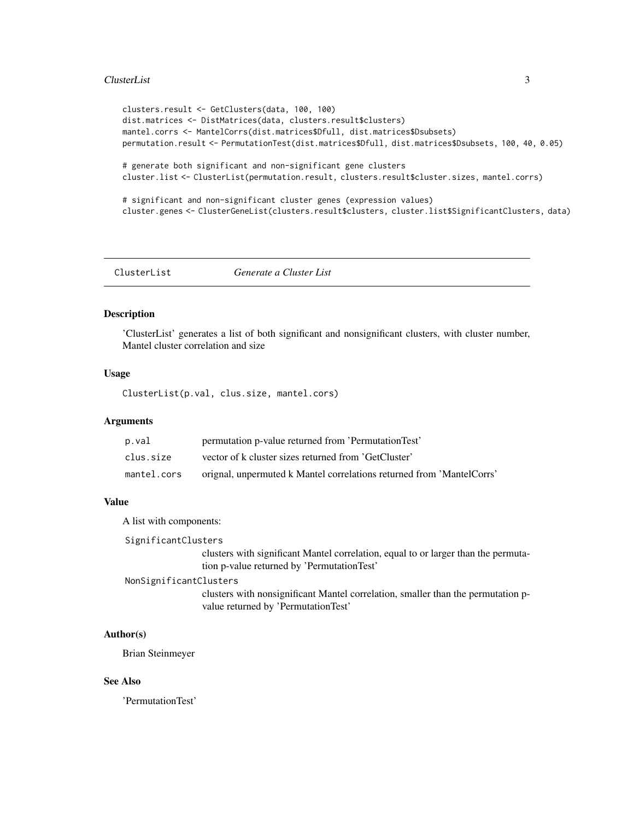#### <span id="page-2-0"></span>ClusterList 3

```
clusters.result <- GetClusters(data, 100, 100)
dist.matrices <- DistMatrices(data, clusters.result$clusters)
mantel.corrs <- MantelCorrs(dist.matrices$Dfull, dist.matrices$Dsubsets)
permutation.result <- PermutationTest(dist.matrices$Dfull, dist.matrices$Dsubsets, 100, 40, 0.05)
# generate both significant and non-significant gene clusters
cluster.list <- ClusterList(permutation.result, clusters.result$cluster.sizes, mantel.corrs)
# significant and non-significant cluster genes (expression values)
cluster.genes <- ClusterGeneList(clusters.result$clusters, cluster.list$SignificantClusters, data)
```
ClusterList *Generate a Cluster List*

#### Description

'ClusterList' generates a list of both significant and nonsignificant clusters, with cluster number, Mantel cluster correlation and size

#### Usage

ClusterList(p.val, clus.size, mantel.cors)

#### Arguments

| p.val       | permutation p-value returned from 'PermutationTest'                   |
|-------------|-----------------------------------------------------------------------|
| clus.size   | vector of k cluster sizes returned from 'GetCluster'                  |
| mantel.cors | orignal, unpermuted k Mantel correlations returned from 'MantelCorrs' |

#### Value

A list with components:

SignificantClusters

clusters with significant Mantel correlation, equal to or larger than the permutation p-value returned by 'PermutationTest'

#### NonSignificantClusters

clusters with nonsignificant Mantel correlation, smaller than the permutation pvalue returned by 'PermutationTest'

#### Author(s)

Brian Steinmeyer

#### See Also

'PermutationTest'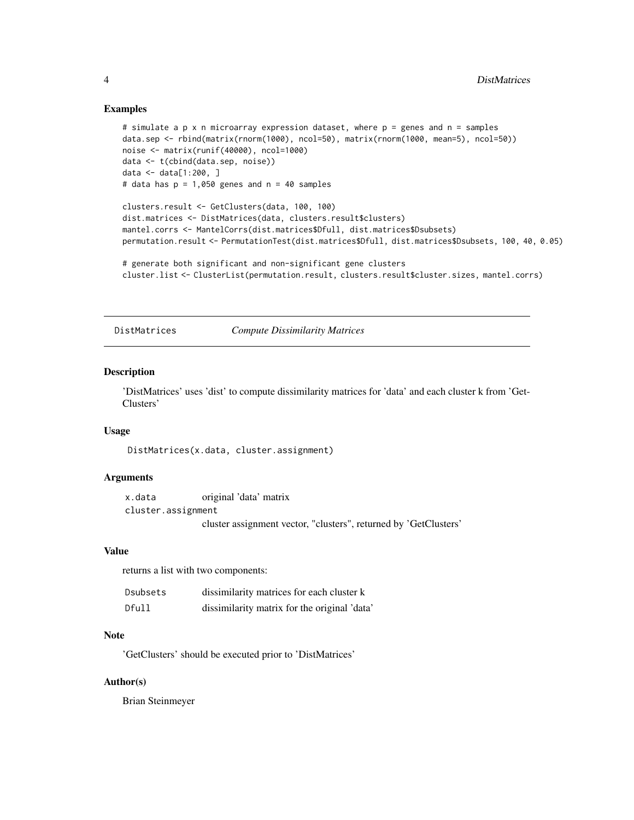#### Examples

```
# simulate a p x n microarray expression dataset, where p = genes and n = samples
data.sep <- rbind(matrix(rnorm(1000), ncol=50), matrix(rnorm(1000, mean=5), ncol=50))
noise <- matrix(runif(40000), ncol=1000)
data <- t(cbind(data.sep, noise))
data <- data[1:200, ]
# data has p = 1,050 genes and n = 40 samples
```

```
clusters.result <- GetClusters(data, 100, 100)
dist.matrices <- DistMatrices(data, clusters.result$clusters)
mantel.corrs <- MantelCorrs(dist.matrices$Dfull, dist.matrices$Dsubsets)
permutation.result <- PermutationTest(dist.matrices$Dfull, dist.matrices$Dsubsets, 100, 40, 0.05)
```

```
# generate both significant and non-significant gene clusters
cluster.list <- ClusterList(permutation.result, clusters.result$cluster.sizes, mantel.corrs)
```
DistMatrices *Compute Dissimilarity Matrices*

#### Description

'DistMatrices' uses 'dist' to compute dissimilarity matrices for 'data' and each cluster k from 'Get-Clusters'

#### Usage

DistMatrices(x.data, cluster.assignment)

#### Arguments

x.data original 'data' matrix cluster.assignment cluster assignment vector, "clusters", returned by 'GetClusters'

#### Value

returns a list with two components:

| Dsubsets | dissimilarity matrices for each cluster k    |
|----------|----------------------------------------------|
| Dfull    | dissimilarity matrix for the original 'data' |

#### Note

'GetClusters' should be executed prior to 'DistMatrices'

#### Author(s)

Brian Steinmeyer

<span id="page-3-0"></span>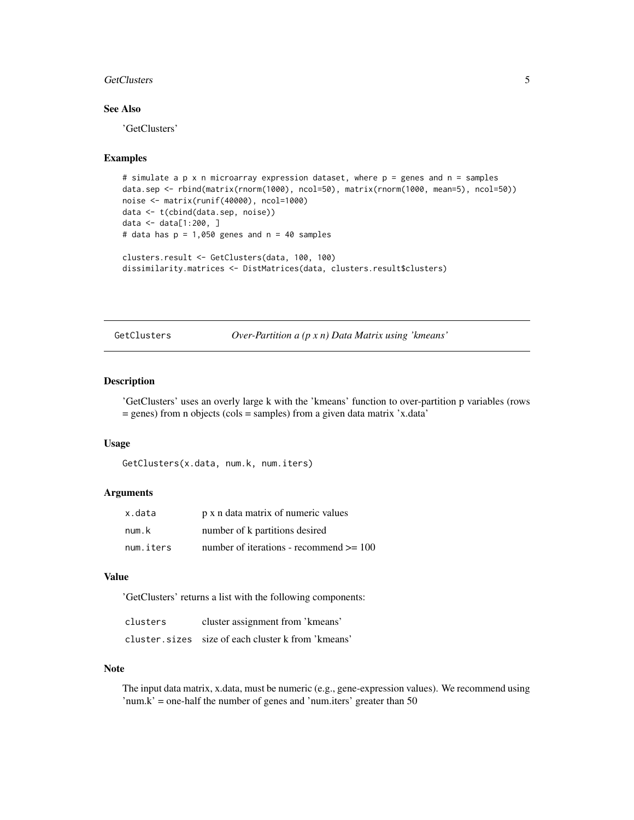#### <span id="page-4-0"></span>GetClusters 5

#### See Also

'GetClusters'

#### Examples

```
# simulate a p x n microarray expression dataset, where p = genes and n = samples
data.sep <- rbind(matrix(rnorm(1000), ncol=50), matrix(rnorm(1000, mean=5), ncol=50))
noise <- matrix(runif(40000), ncol=1000)
data <- t(cbind(data.sep, noise))
data <- data[1:200, ]
# data has p = 1,050 genes and n = 40 samples
clusters.result <- GetClusters(data, 100, 100)
dissimilarity.matrices <- DistMatrices(data, clusters.result$clusters)
```
GetClusters *Over-Partition a (p x n) Data Matrix using 'kmeans'*

#### **Description**

'GetClusters' uses an overly large k with the 'kmeans' function to over-partition p variables (rows = genes) from n objects (cols = samples) from a given data matrix 'x.data'

#### Usage

GetClusters(x.data, num.k, num.iters)

#### Arguments

| x.data    | p x n data matrix of numeric values         |
|-----------|---------------------------------------------|
| num.k     | number of k partitions desired              |
| num.iters | number of iterations - recommend $\geq 100$ |

#### Value

'GetClusters' returns a list with the following components:

| clusters | cluster assignment from 'kmeans'                   |
|----------|----------------------------------------------------|
|          | cluster.sizes size of each cluster k from 'kmeans' |

#### **Note**

The input data matrix, x.data, must be numeric (e.g., gene-expression values). We recommend using 'num.k' = one-half the number of genes and 'num.iters' greater than  $50$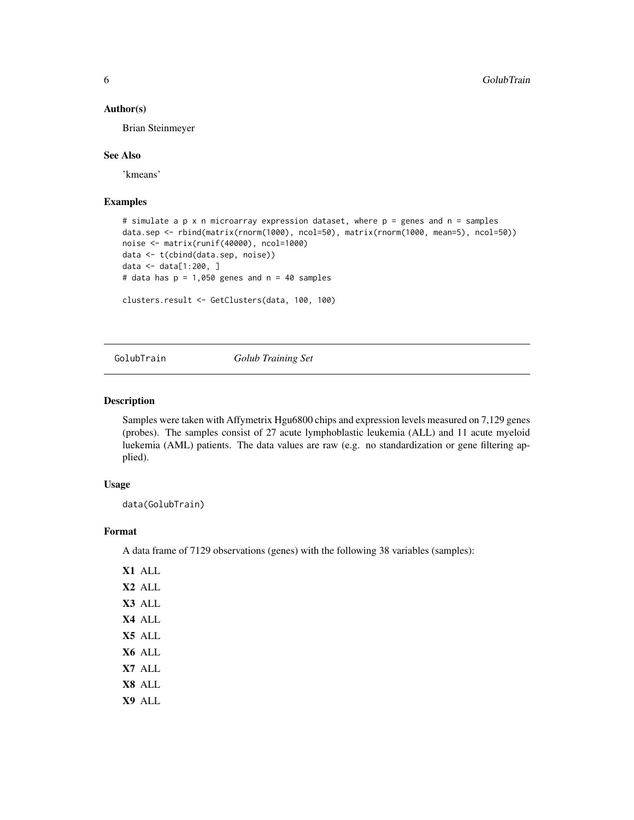#### <span id="page-5-0"></span>Author(s)

Brian Steinmeyer

#### See Also

'kmeans'

#### Examples

```
# simulate a p x n microarray expression dataset, where p = genes and n = samples
data.sep <- rbind(matrix(rnorm(1000), ncol=50), matrix(rnorm(1000, mean=5), ncol=50))
noise <- matrix(runif(40000), ncol=1000)
data <- t(cbind(data.sep, noise))
data <- data[1:200, ]
# data has p = 1,050 genes and n = 40 samples
clusters.result <- GetClusters(data, 100, 100)
```
GolubTrain *Golub Training Set*

#### Description

Samples were taken with Affymetrix Hgu6800 chips and expression levels measured on 7,129 genes (probes). The samples consist of 27 acute lymphoblastic leukemia (ALL) and 11 acute myeloid luekemia (AML) patients. The data values are raw (e.g. no standardization or gene filtering applied).

#### Usage

data(GolubTrain)

#### Format

A data frame of 7129 observations (genes) with the following 38 variables (samples):

X1 ALL X2 ALL X3 ALL X4 ALL X5 ALL X6 ALL X7 ALL X8 ALL X9 ALL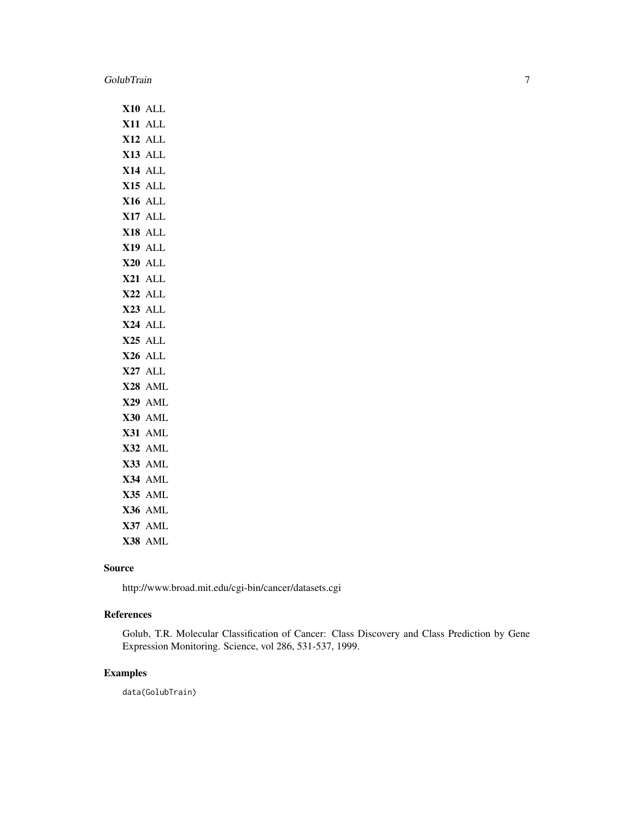|            | X10 ALL             |
|------------|---------------------|
|            | X11 ALL             |
|            | X12 ALL             |
|            | X13 ALL             |
|            | X14 ALL             |
|            | X15 ALL             |
|            | X16 ALL             |
| <b>X17</b> | <b>ALL</b>          |
|            | X18 ALL             |
| X19        | <b>ALL</b>          |
|            | X20 ALL             |
|            | X21 ALL             |
| X22        | <b>ALL</b>          |
|            | X23 ALL             |
|            | X24 ALL             |
|            | X <sub>25</sub> ALL |
|            | X26 ALL             |
|            | X27 ALL             |
|            | X28 AML             |
| <b>X29</b> | AML                 |
|            | X30 AML             |
|            | X31 AML             |
|            | X32 AML             |
|            | X33 AML             |
|            | X34 AML             |
|            | X35 AML             |
|            | X36 AML             |
|            | X37 AML             |
|            | X38 AML             |

#### Source

http://www.broad.mit.edu/cgi-bin/cancer/datasets.cgi

#### References

Golub, T.R. Molecular Classification of Cancer: Class Discovery and Class Prediction by Gene Expression Monitoring. Science, vol 286, 531-537, 1999.

#### Examples

data(GolubTrain)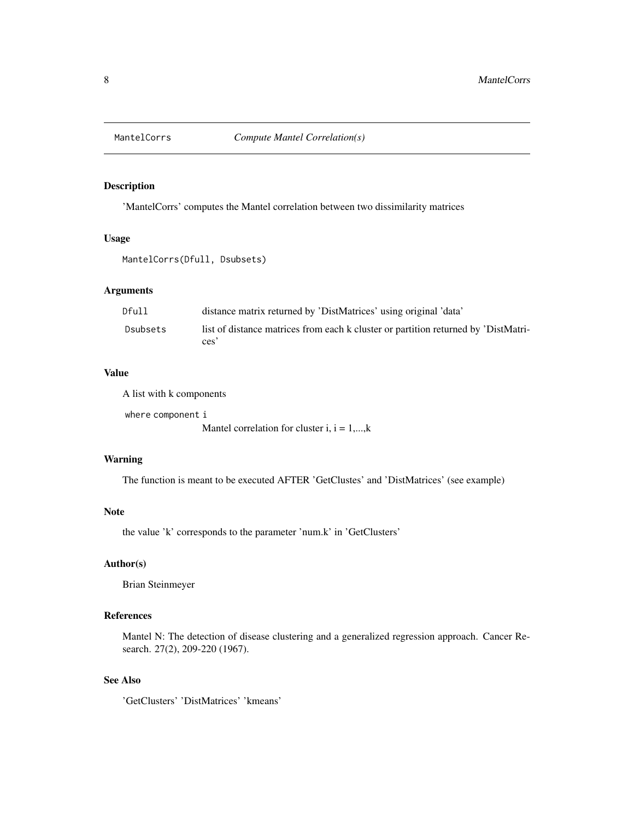<span id="page-7-0"></span>

#### Description

'MantelCorrs' computes the Mantel correlation between two dissimilarity matrices

#### Usage

MantelCorrs(Dfull, Dsubsets)

#### Arguments

| Dfull    | distance matrix returned by 'DistMatrices' using original 'data'                           |
|----------|--------------------------------------------------------------------------------------------|
| Dsubsets | list of distance matrices from each k cluster or partition returned by 'DistMatri-<br>ces' |

#### Value

A list with k components

where component i Mantel correlation for cluster i,  $i = 1,...,k$ 

#### Warning

The function is meant to be executed AFTER 'GetClustes' and 'DistMatrices' (see example)

#### Note

the value 'k' corresponds to the parameter 'num.k' in 'GetClusters'

#### Author(s)

Brian Steinmeyer

#### References

Mantel N: The detection of disease clustering and a generalized regression approach. Cancer Research. 27(2), 209-220 (1967).

#### See Also

'GetClusters' 'DistMatrices' 'kmeans'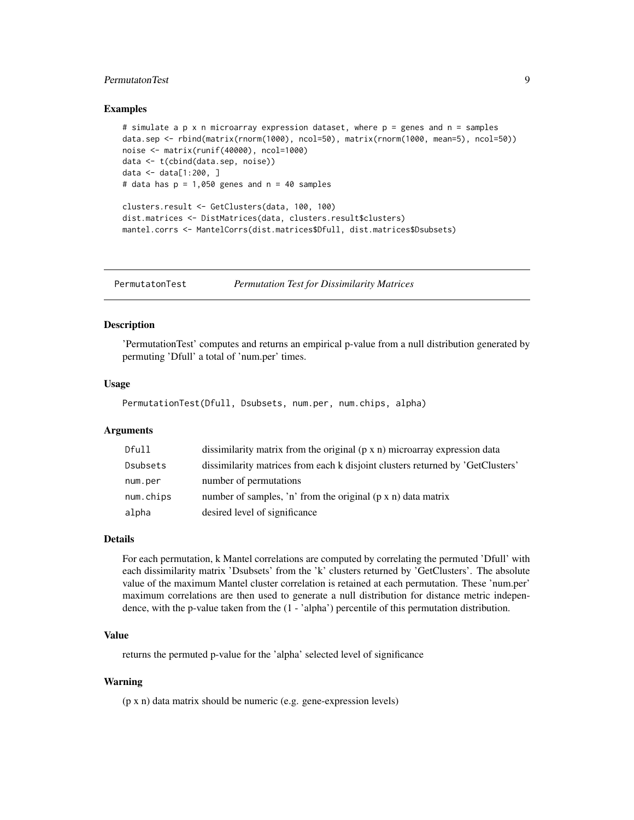#### <span id="page-8-0"></span>PermutatonTest 9

#### Examples

```
# simulate a p x n microarray expression dataset, where p = genes and n = samples
data.sep <- rbind(matrix(rnorm(1000), ncol=50), matrix(rnorm(1000, mean=5), ncol=50))
noise <- matrix(runif(40000), ncol=1000)
data <- t(cbind(data.sep, noise))
data <- data[1:200, ]
# data has p = 1,050 genes and n = 40 samples
clusters.result <- GetClusters(data, 100, 100)
dist.matrices <- DistMatrices(data, clusters.result$clusters)
mantel.corrs <- MantelCorrs(dist.matrices$Dfull, dist.matrices$Dsubsets)
```
PermutatonTest *Permutation Test for Dissimilarity Matrices*

#### Description

'PermutationTest' computes and returns an empirical p-value from a null distribution generated by permuting 'Dfull' a total of 'num.per' times.

#### Usage

PermutationTest(Dfull, Dsubsets, num.per, num.chips, alpha)

#### Arguments

| Dfull     | dissimilarity matrix from the original $(p \times n)$ microarray expression data |
|-----------|----------------------------------------------------------------------------------|
| Dsubsets  | dissimilarity matrices from each k disjoint clusters returned by 'GetClusters'   |
| num.per   | number of permutations                                                           |
| num.chips | number of samples, 'n' from the original $(p \times n)$ data matrix              |
| alpha     | desired level of significance                                                    |

#### Details

For each permutation, k Mantel correlations are computed by correlating the permuted 'Dfull' with each dissimilarity matrix 'Dsubsets' from the 'k' clusters returned by 'GetClusters'. The absolute value of the maximum Mantel cluster correlation is retained at each permutation. These 'num.per' maximum correlations are then used to generate a null distribution for distance metric independence, with the p-value taken from the (1 - 'alpha') percentile of this permutation distribution.

#### Value

returns the permuted p-value for the 'alpha' selected level of significance

#### Warning

(p x n) data matrix should be numeric (e.g. gene-expression levels)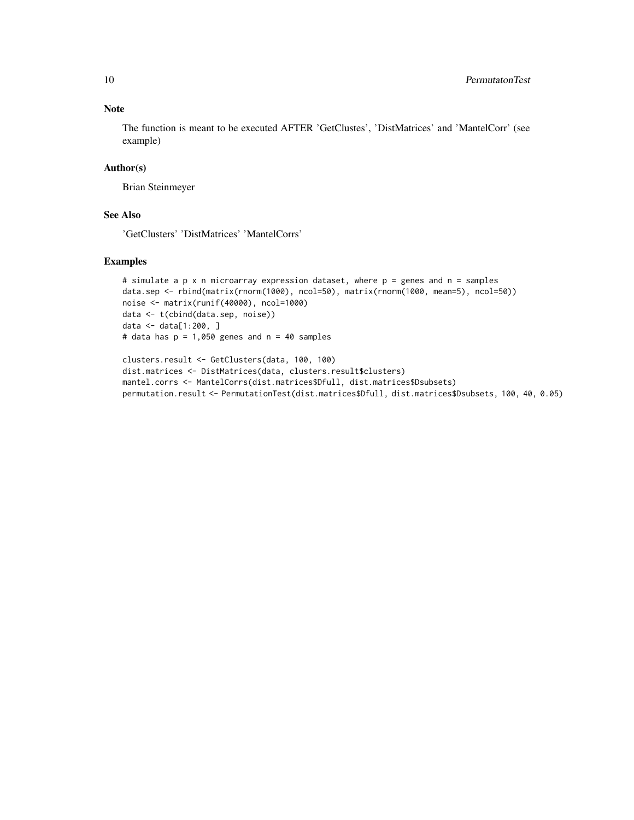#### Note

The function is meant to be executed AFTER 'GetClustes', 'DistMatrices' and 'MantelCorr' (see example)

#### Author(s)

Brian Steinmeyer

#### See Also

'GetClusters' 'DistMatrices' 'MantelCorrs'

#### Examples

```
# simulate a p x n microarray expression dataset, where p = genes and n = samples
data.sep <- rbind(matrix(rnorm(1000), ncol=50), matrix(rnorm(1000, mean=5), ncol=50))
noise <- matrix(runif(40000), ncol=1000)
data <- t(cbind(data.sep, noise))
data <- data[1:200, ]
# data has p = 1,050 genes and n = 40 samples
```

```
clusters.result <- GetClusters(data, 100, 100)
dist.matrices <- DistMatrices(data, clusters.result$clusters)
mantel.corrs <- MantelCorrs(dist.matrices$Dfull, dist.matrices$Dsubsets)
permutation.result <- PermutationTest(dist.matrices$Dfull, dist.matrices$Dsubsets, 100, 40, 0.05)
```